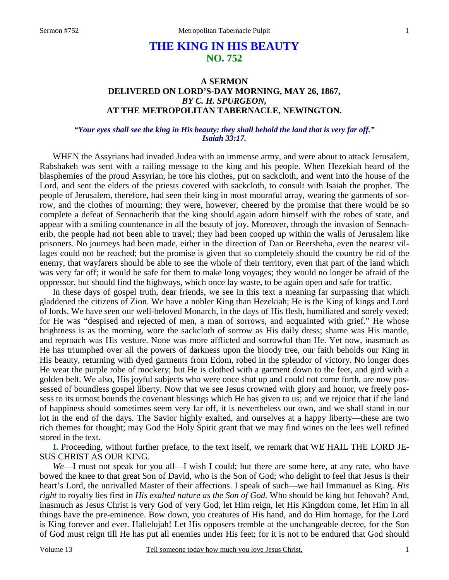#### 1

# **THE KING IN HIS BEAUTY NO. 752**

# **A SERMON DELIVERED ON LORD'S-DAY MORNING, MAY 26, 1867,**  *BY C. H. SPURGEON,*  **AT THE METROPOLITAN TABERNACLE, NEWINGTON.**

## *"Your eyes shall see the king in His beauty: they shall behold the land that is very far off." Isaiah 33:17.*

WHEN the Assyrians had invaded Judea with an immense army, and were about to attack Jerusalem, Rabshakeh was sent with a railing message to the king and his people. When Hezekiah heard of the blasphemies of the proud Assyrian, he tore his clothes, put on sackcloth, and went into the house of the Lord, and sent the elders of the priests covered with sackcloth, to consult with Isaiah the prophet. The people of Jerusalem, therefore, had seen their king in most mournful array, wearing the garments of sorrow, and the clothes of mourning; they were, however, cheered by the promise that there would be so complete a defeat of Sennacherib that the king should again adorn himself with the robes of state, and appear with a smiling countenance in all the beauty of joy. Moreover, through the invasion of Sennacherib, the people had not been able to travel; they had been cooped up within the walls of Jerusalem like prisoners. No journeys had been made, either in the direction of Dan or Beersheba, even the nearest villages could not be reached; but the promise is given that so completely should the country be rid of the enemy, that wayfarers should be able to see the whole of their territory, even that part of the land which was very far off; it would be safe for them to make long voyages; they would no longer be afraid of the oppressor, but should find the highways, which once lay waste, to be again open and safe for traffic.

 In these days of gospel truth, dear friends, we see in this text a meaning far surpassing that which gladdened the citizens of Zion. We have a nobler King than Hezekiah; He is the King of kings and Lord of lords. We have seen our well-beloved Monarch, in the days of His flesh, humiliated and sorely vexed; for He was "despised and rejected of men, a man of sorrows, and acquainted with grief." He whose brightness is as the morning, wore the sackcloth of sorrow as His daily dress; shame was His mantle, and reproach was His vesture. None was more afflicted and sorrowful than He. Yet now, inasmuch as He has triumphed over all the powers of darkness upon the bloody tree, our faith beholds our King in His beauty, returning with dyed garments from Edom, robed in the splendor of victory. No longer does He wear the purple robe of mockery; but He is clothed with a garment down to the feet, and gird with a golden belt. We also, His joyful subjects who were once shut up and could not come forth, are now possessed of boundless gospel liberty. Now that we see Jesus crowned with glory and honor, we freely possess to its utmost bounds the covenant blessings which He has given to us; and we rejoice that if the land of happiness should sometimes seem very far off, it is nevertheless our own, and we shall stand in our lot in the end of the days. The Savior highly exalted, and ourselves at a happy liberty—these are two rich themes for thought; may God the Holy Spirit grant that we may find wines on the lees well refined stored in the text.

**I.** Proceeding, without further preface, to the text itself, we remark that WE HAIL THE LORD JE-SUS CHRIST AS OUR KING.

*We*—I must not speak for you all—I wish I could; but there are some here, at any rate, who have bowed the knee to that great Son of David, who is the Son of God; who delight to feel that Jesus is their heart's Lord, the unrivalled Master of their affections. I speak of such—we hail Immanuel as King. *His right* to royalty lies first in *His exalted nature as the Son of God.* Who should be king but Jehovah? And, inasmuch as Jesus Christ is very God of very God, let Him reign, let His Kingdom come, let Him in all things have the pre-eminence. Bow down, you creatures of His hand, and do Him homage, for the Lord is King forever and ever. Hallelujah! Let His opposers tremble at the unchangeable decree, for the Son of God must reign till He has put all enemies under His feet; for it is not to be endured that God should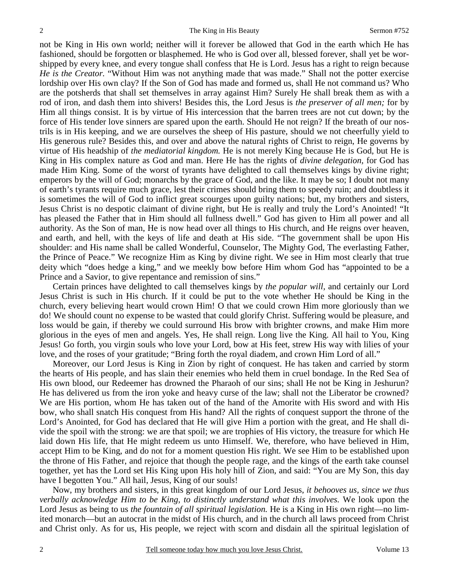not be King in His own world; neither will it forever be allowed that God in the earth which He has fashioned, should be forgotten or blasphemed. He who is God over all, blessed forever, shall yet be worshipped by every knee, and every tongue shall confess that He is Lord. Jesus has a right to reign because *He is the Creator.* "Without Him was not anything made that was made." Shall not the potter exercise lordship over His own clay? If the Son of God has made and formed us, shall He not command us? Who are the potsherds that shall set themselves in array against Him? Surely He shall break them as with a rod of iron, and dash them into shivers! Besides this, the Lord Jesus is *the preserver of all men;* for by Him all things consist. It is by virtue of His intercession that the barren trees are not cut down; by the force of His tender love sinners are spared upon the earth. Should He not reign? If the breath of our nostrils is in His keeping, and we are ourselves the sheep of His pasture, should we not cheerfully yield to His generous rule? Besides this, and over and above the natural rights of Christ to reign, He governs by virtue of His headship of *the mediatorial kingdom.* He is not merely King because He is God, but He is King in His complex nature as God and man. Here He has the rights of *divine delegation,* for God has made Him King. Some of the worst of tyrants have delighted to call themselves kings by divine right; emperors by the will of God; monarchs by the grace of God, and the like. It may be so; I doubt not many of earth's tyrants require much grace, lest their crimes should bring them to speedy ruin; and doubtless it is sometimes the will of God to inflict great scourges upon guilty nations; but, my brothers and sisters, Jesus Christ is no despotic claimant of divine right, but He is really and truly the Lord's Anointed! "It has pleased the Father that in Him should all fullness dwell." God has given to Him all power and all authority. As the Son of man, He is now head over all things to His church, and He reigns over heaven, and earth, and hell, with the keys of life and death at His side. "The government shall be upon His shoulder: and His name shall be called Wonderful, Counselor, The Mighty God, The everlasting Father, the Prince of Peace." We recognize Him as King by divine right. We see in Him most clearly that true deity which "does hedge a king," and we meekly bow before Him whom God has "appointed to be a Prince and a Savior, to give repentance and remission of sins."

 Certain princes have delighted to call themselves kings by *the popular will,* and certainly our Lord Jesus Christ is such in His church. If it could be put to the vote whether He should be King in the church, every believing heart would crown Him! O that we could crown Him more gloriously than we do! We should count no expense to be wasted that could glorify Christ. Suffering would be pleasure, and loss would be gain, if thereby we could surround His brow with brighter crowns, and make Him more glorious in the eyes of men and angels. Yes, He shall reign. Long live the King. All hail to You, King Jesus! Go forth, you virgin souls who love your Lord, bow at His feet, strew His way with lilies of your love, and the roses of your gratitude; "Bring forth the royal diadem, and crown Him Lord of all."

 Moreover, our Lord Jesus is King in Zion by right of conquest. He has taken and carried by storm the hearts of His people, and has slain their enemies who held them in cruel bondage. In the Red Sea of His own blood, our Redeemer has drowned the Pharaoh of our sins; shall He not be King in Jeshurun? He has delivered us from the iron yoke and heavy curse of the law; shall not the Liberator be crowned? We are His portion, whom He has taken out of the hand of the Amorite with His sword and with His bow, who shall snatch His conquest from His hand? All the rights of conquest support the throne of the Lord's Anointed, for God has declared that He will give Him a portion with the great, and He shall divide the spoil with the strong: we are that spoil; we are trophies of His victory, the treasure for which He laid down His life, that He might redeem us unto Himself. We, therefore, who have believed in Him, accept Him to be King, and do not for a moment question His right. We see Him to be established upon the throne of His Father, and rejoice that though the people rage, and the kings of the earth take counsel together, yet has the Lord set His King upon His holy hill of Zion, and said: "You are My Son, this day have I begotten You." All hail, Jesus, King of our souls!

 Now, my brothers and sisters, in this great kingdom of our Lord Jesus, *it behooves us, since we thus verbally acknowledge Him to be King, to distinctly understand what this involves.* We look upon the Lord Jesus as being to us *the fountain of all spiritual legislation.* He is a King in His own right—no limited monarch—but an autocrat in the midst of His church, and in the church all laws proceed from Christ and Christ only. As for us, His people, we reject with scorn and disdain all the spiritual legislation of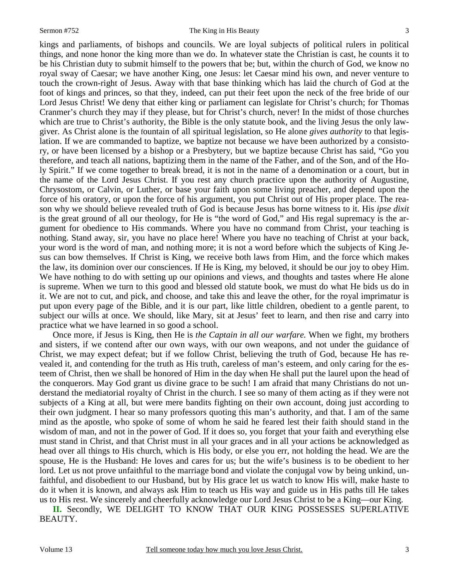kings and parliaments, of bishops and councils. We are loyal subjects of political rulers in political things, and none honor the king more than we do. In whatever state the Christian is cast, he counts it to be his Christian duty to submit himself to the powers that be; but, within the church of God, we know no royal sway of Caesar; we have another King, one Jesus: let Caesar mind his own, and never venture to touch the crown-right of Jesus. Away with that base thinking which has laid the church of God at the foot of kings and princes, so that they, indeed, can put their feet upon the neck of the free bride of our Lord Jesus Christ! We deny that either king or parliament can legislate for Christ's church; for Thomas Cranmer's church they may if they please, but for Christ's church, never! In the midst of those churches which are true to Christ's authority, the Bible is the only statute book, and the living Jesus the only lawgiver. As Christ alone is the fountain of all spiritual legislation, so He alone *gives authority* to that legislation. If we are commanded to baptize, we baptize not because we have been authorized by a consistory, or have been licensed by a bishop or a Presbytery, but we baptize because Christ has said, "Go you therefore, and teach all nations, baptizing them in the name of the Father, and of the Son, and of the Holy Spirit." If we come together to break bread, it is not in the name of a denomination or a court, but in the name of the Lord Jesus Christ. If you rest any church practice upon the authority of Augustine, Chrysostom, or Calvin, or Luther, or base your faith upon some living preacher, and depend upon the force of his oratory, or upon the force of his argument, you put Christ out of His proper place. The reason why we should believe revealed truth of God is because Jesus has borne witness to it. His *ipse dixit* is the great ground of all our theology, for He is "the word of God," and His regal supremacy is the argument for obedience to His commands. Where you have no command from Christ, your teaching is nothing. Stand away, sir, you have no place here! Where you have no teaching of Christ at your back, your word is the word of man, and nothing more; it is not a word before which the subjects of King Jesus can bow themselves. If Christ is King, we receive both laws from Him, and the force which makes the law, its dominion over our consciences. If He is King, my beloved, it should be our joy to obey Him. We have nothing to do with setting up our opinions and views, and thoughts and tastes where He alone is supreme. When we turn to this good and blessed old statute book, we must do what He bids us do in it. We are not to cut, and pick, and choose, and take this and leave the other, for the royal imprimatur is put upon every page of the Bible, and it is our part, like little children, obedient to a gentle parent, to subject our wills at once. We should, like Mary, sit at Jesus' feet to learn, and then rise and carry into practice what we have learned in so good a school.

 Once more, if Jesus is King, then He is *the Captain in all our warfare.* When we fight, my brothers and sisters, if we contend after our own ways, with our own weapons, and not under the guidance of Christ, we may expect defeat; but if we follow Christ, believing the truth of God, because He has revealed it, and contending for the truth as His truth, careless of man's esteem, and only caring for the esteem of Christ, then we shall be honored of Him in the day when He shall put the laurel upon the head of the conquerors. May God grant us divine grace to be such! I am afraid that many Christians do not understand the mediatorial royalty of Christ in the church. I see so many of them acting as if they were not subjects of a King at all, but were mere bandits fighting on their own account, doing just according to their own judgment. I hear so many professors quoting this man's authority, and that. I am of the same mind as the apostle, who spoke of some of whom he said he feared lest their faith should stand in the wisdom of man, and not in the power of God. If it does so, you forget that your faith and everything else must stand in Christ, and that Christ must in all your graces and in all your actions be acknowledged as head over all things to His church, which is His body, or else you err, not holding the head. We are the spouse, He is the Husband: He loves and cares for us; but the wife's business is to be obedient to her lord. Let us not prove unfaithful to the marriage bond and violate the conjugal vow by being unkind, unfaithful, and disobedient to our Husband, but by His grace let us watch to know His will, make haste to do it when it is known, and always ask Him to teach us His way and guide us in His paths till He takes us to His rest. We sincerely and cheerfully acknowledge our Lord Jesus Christ to be a King—our King.

**II.** Secondly, WE DELIGHT TO KNOW THAT OUR KING POSSESSES SUPERLATIVE BEAUTY.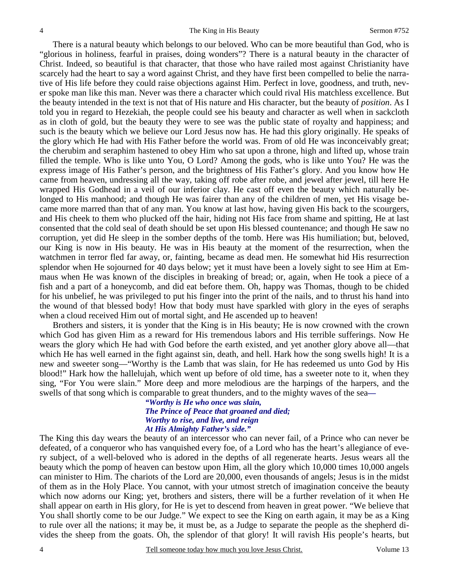There is a natural beauty which belongs to our beloved. Who can be more beautiful than God, who is "glorious in holiness, fearful in praises, doing wonders"? There is a natural beauty in the character of Christ. Indeed, so beautiful is that character, that those who have railed most against Christianity have scarcely had the heart to say a word against Christ, and they have first been compelled to belie the narrative of His life before they could raise objections against Him. Perfect in love, goodness, and truth, never spoke man like this man. Never was there a character which could rival His matchless excellence. But the beauty intended in the text is not that of His nature and His character, but the beauty of *position*. As I told you in regard to Hezekiah, the people could see his beauty and character as well when in sackcloth as in cloth of gold, but the beauty they were to see was the public state of royalty and happiness; and such is the beauty which we believe our Lord Jesus now has. He had this glory originally. He speaks of the glory which He had with His Father before the world was. From of old He was inconceivably great; the cherubim and seraphim hastened to obey Him who sat upon a throne, high and lifted up, whose train filled the temple. Who is like unto You, O Lord? Among the gods, who is like unto You? He was the express image of His Father's person, and the brightness of His Father's glory. And you know how He came from heaven, undressing all the way, taking off robe after robe, and jewel after jewel, till here He wrapped His Godhead in a veil of our inferior clay. He cast off even the beauty which naturally belonged to His manhood; and though He was fairer than any of the children of men, yet His visage became more marred than that of any man. You know at last how, having given His back to the scourgers, and His cheek to them who plucked off the hair, hiding not His face from shame and spitting, He at last consented that the cold seal of death should be set upon His blessed countenance; and though He saw no corruption, yet did He sleep in the somber depths of the tomb. Here was His humiliation; but, beloved, our King is now in His beauty. He was in His beauty at the moment of the resurrection, when the watchmen in terror fled far away, or, fainting, became as dead men. He somewhat hid His resurrection splendor when He sojourned for 40 days below; yet it must have been a lovely sight to see Him at Emmaus when He was known of the disciples in breaking of bread; or, again, when He took a piece of a fish and a part of a honeycomb, and did eat before them. Oh, happy was Thomas, though to be chided for his unbelief, he was privileged to put his finger into the print of the nails, and to thrust his hand into the wound of that blessed body! How that body must have sparkled with glory in the eyes of seraphs when a cloud received Him out of mortal sight, and He ascended up to heaven!

 Brothers and sisters, it is yonder that the King is in His beauty; He is now crowned with the crown which God has given Him as a reward for His tremendous labors and His terrible sufferings. Now He wears the glory which He had with God before the earth existed, and yet another glory above all—that which He has well earned in the fight against sin, death, and hell. Hark how the song swells high! It is a new and sweeter song—"Worthy is the Lamb that was slain, for He has redeemed us unto God by His blood!" Hark how the hallelujah, which went up before of old time, has a sweeter note to it, when they sing, "For You were slain." More deep and more melodious are the harpings of the harpers, and the swells of that song which is comparable to great thunders, and to the mighty waves of the sea*—* 

*"Worthy is He who once was slain, The Prince of Peace that groaned and died; Worthy to rise, and live, and reign At His Almighty Father's side."* 

The King this day wears the beauty of an intercessor who can never fail, of a Prince who can never be defeated, of a conqueror who has vanquished every foe, of a Lord who has the heart's allegiance of every subject, of a well-beloved who is adored in the depths of all regenerate hearts. Jesus wears all the beauty which the pomp of heaven can bestow upon Him, all the glory which 10,000 times 10,000 angels can minister to Him. The chariots of the Lord are 20,000, even thousands of angels; Jesus is in the midst of them as in the Holy Place. You cannot, with your utmost stretch of imagination conceive the beauty which now adorns our King; yet, brothers and sisters, there will be a further revelation of it when He shall appear on earth in His glory, for He is yet to descend from heaven in great power. "We believe that You shall shortly come to be our Judge." We expect to see the King on earth again, it may be as a King to rule over all the nations; it may be, it must be, as a Judge to separate the people as the shepherd divides the sheep from the goats. Oh, the splendor of that glory! It will ravish His people's hearts, but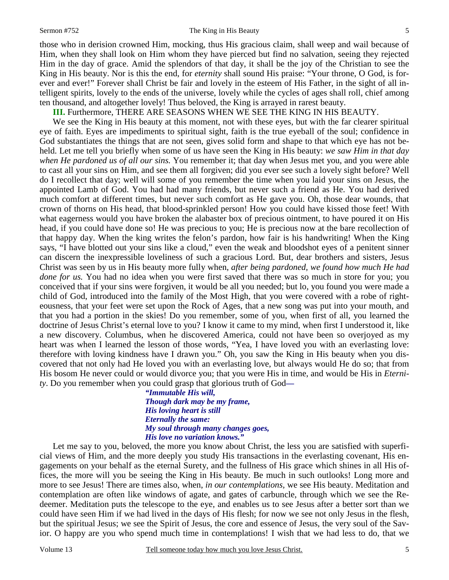those who in derision crowned Him, mocking, thus His gracious claim, shall weep and wail because of Him, when they shall look on Him whom they have pierced but find no salvation, seeing they rejected Him in the day of grace. Amid the splendors of that day, it shall be the joy of the Christian to see the King in His beauty. Nor is this the end, for *eternity* shall sound His praise: "Your throne, O God, is forever and ever!" Forever shall Christ be fair and lovely in the esteem of His Father, in the sight of all intelligent spirits, lovely to the ends of the universe, lovely while the cycles of ages shall roll, chief among ten thousand, and altogether lovely! Thus beloved, the King is arrayed in rarest beauty.

**III.** Furthermore, THERE ARE SEASONS WHEN WE SEE THE KING IN HIS BEAUTY.

We see the King in His beauty at this moment, not with these eyes, but with the far clearer spiritual eye of faith. Eyes are impediments to spiritual sight, faith is the true eyeball of the soul; confidence in God substantiates the things that are not seen, gives solid form and shape to that which eye has not beheld. Let me tell you briefly when some of us have seen the King in His beauty: *we saw Him in that day when He pardoned us of all our sins.* You remember it; that day when Jesus met you, and you were able to cast all your sins on Him, and see them all forgiven; did you ever see such a lovely sight before? Well do I recollect that day; well will some of you remember the time when you laid your sins on Jesus, the appointed Lamb of God. You had had many friends, but never such a friend as He. You had derived much comfort at different times, but never such comfort as He gave you. Oh, those dear wounds, that crown of thorns on His head, that blood-sprinkled person! How you could have kissed those feet! With what eagerness would you have broken the alabaster box of precious ointment, to have poured it on His head, if you could have done so! He was precious to you; He is precious now at the bare recollection of that happy day. When the king writes the felon's pardon, how fair is his handwriting! When the King says, "I have blotted out your sins like a cloud," even the weak and bloodshot eyes of a penitent sinner can discern the inexpressible loveliness of such a gracious Lord. But, dear brothers and sisters, Jesus Christ was seen by us in His beauty more fully when, *after being pardoned, we found how much He had done for us.* You had no idea when you were first saved that there was so much in store for you; you conceived that if your sins were forgiven, it would be all you needed; but lo, you found you were made a child of God, introduced into the family of the Most High, that you were covered with a robe of righteousness, that your feet were set upon the Rock of Ages, that a new song was put into your mouth, and that you had a portion in the skies! Do you remember, some of you, when first of all, you learned the doctrine of Jesus Christ's eternal love to you? I know it came to my mind, when first I understood it, like a new discovery. Columbus, when he discovered America, could not have been so overjoyed as my heart was when I learned the lesson of those words, "Yea, I have loved you with an everlasting love: therefore with loving kindness have I drawn you." Oh, you saw the King in His beauty when you discovered that not only had He loved you with an everlasting love, but always would He do so; that from His bosom He never could or would divorce you; that you were His in time, and would be His in *Eternity*. Do you remember when you could grasp that glorious truth of God*—* 

> *"Immutable His will, Though dark may be my frame, His loving heart is still Eternally the same: My soul through many changes goes, His love no variation knows."*

 Let me say to you, beloved, the more you know about Christ, the less you are satisfied with superficial views of Him, and the more deeply you study His transactions in the everlasting covenant, His engagements on your behalf as the eternal Surety, and the fullness of His grace which shines in all His offices, the more will you be seeing the King in His beauty. Be much in such outlooks! Long more and more to see Jesus! There are times also, when, *in our contemplations,* we see His beauty. Meditation and contemplation are often like windows of agate, and gates of carbuncle, through which we see the Redeemer. Meditation puts the telescope to the eye, and enables us to see Jesus after a better sort than we could have seen Him if we had lived in the days of His flesh; for now we see not only Jesus in the flesh, but the spiritual Jesus; we see the Spirit of Jesus, the core and essence of Jesus, the very soul of the Savior. O happy are you who spend much time in contemplations! I wish that we had less to do, that we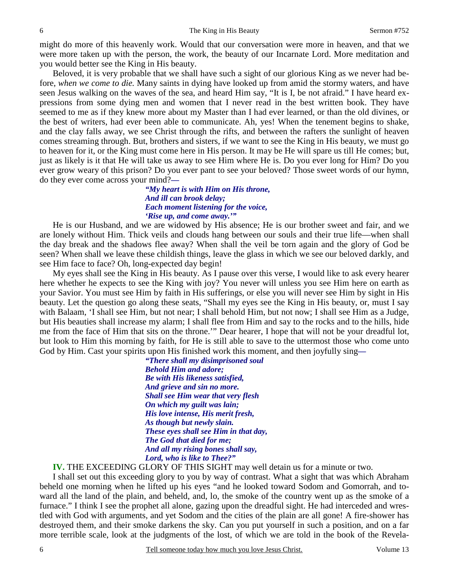might do more of this heavenly work. Would that our conversation were more in heaven, and that we were more taken up with the person, the work, the beauty of our Incarnate Lord. More meditation and you would better see the King in His beauty.

 Beloved, it is very probable that we shall have such a sight of our glorious King as we never had before, *when we come to die.* Many saints in dying have looked up from amid the stormy waters, and have seen Jesus walking on the waves of the sea, and heard Him say, "It is I, be not afraid." I have heard expressions from some dying men and women that I never read in the best written book. They have seemed to me as if they knew more about my Master than I had ever learned, or than the old divines, or the best of writers, had ever been able to communicate. Ah, yes! When the tenement begins to shake, and the clay falls away, we see Christ through the rifts, and between the rafters the sunlight of heaven comes streaming through. But, brothers and sisters, if we want to see the King in His beauty, we must go to heaven for it, or the King must come here in His person. It may be He will spare us till He comes; but, just as likely is it that He will take us away to see Him where He is. Do you ever long for Him? Do you ever grow weary of this prison? Do you ever pant to see your beloved? Those sweet words of our hymn, do they ever come across your mind?*—* 

> *"My heart is with Him on His throne, And ill can brook delay; Each moment listening for the voice, 'Rise up, and come away.'"*

He is our Husband, and we are widowed by His absence; He is our brother sweet and fair, and we are lonely without Him. Thick veils and clouds hang between our souls and their true life—when shall the day break and the shadows flee away? When shall the veil be torn again and the glory of God be seen? When shall we leave these childish things, leave the glass in which we see our beloved darkly, and see Him face to face? Oh, long-expected day begin!

 My eyes shall see the King in His beauty. As I pause over this verse, I would like to ask every hearer here whether he expects to see the King with joy? You never will unless you see Him here on earth as your Savior. You must see Him by faith in His sufferings, or else you will never see Him by sight in His beauty. Let the question go along these seats, "Shall my eyes see the King in His beauty, or, must I say with Balaam, 'I shall see Him, but not near; I shall behold Him, but not now; I shall see Him as a Judge, but His beauties shall increase my alarm; I shall flee from Him and say to the rocks and to the hills, hide me from the face of Him that sits on the throne.'" Dear hearer, I hope that will not be your dreadful lot, but look to Him this morning by faith, for He is still able to save to the uttermost those who come unto God by Him. Cast your spirits upon His finished work this moment, and then joyfully sing*—* 

> *"There shall my disimprisoned soul Behold Him and adore; Be with His likeness satisfied, And grieve and sin no more. Shall see Him wear that very flesh On which my guilt was lain; His love intense, His merit fresh, As though but newly slain. These eyes shall see Him in that day, The God that died for me; And all my rising bones shall say, Lord, who is like to Thee?"*

 **IV.** THE EXCEEDING GLORY OF THIS SIGHT may well detain us for a minute or two.

 I shall set out this exceeding glory to you by way of contrast. What a sight that was which Abraham beheld one morning when he lifted up his eyes "and he looked toward Sodom and Gomorrah, and toward all the land of the plain, and beheld, and, lo, the smoke of the country went up as the smoke of a furnace." I think I see the prophet all alone, gazing upon the dreadful sight. He had interceded and wrestled with God with arguments, and yet Sodom and the cities of the plain are all gone! A fire-shower has destroyed them, and their smoke darkens the sky. Can you put yourself in such a position, and on a far more terrible scale, look at the judgments of the lost, of which we are told in the book of the Revela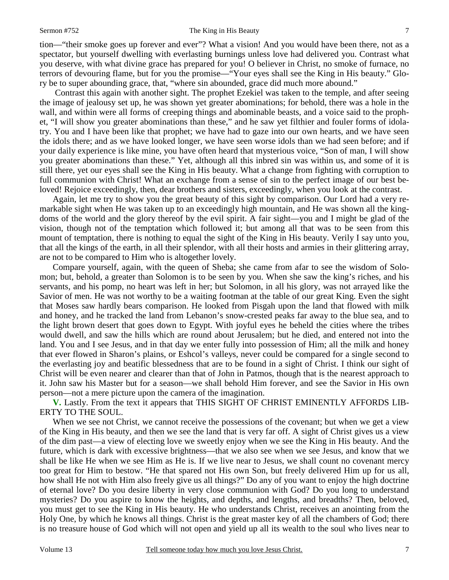tion—"their smoke goes up forever and ever"? What a vision! And you would have been there, not as a spectator, but yourself dwelling with everlasting burnings unless love had delivered you. Contrast what you deserve, with what divine grace has prepared for you! O believer in Christ, no smoke of furnace, no terrors of devouring flame, but for you the promise—"Your eyes shall see the King in His beauty." Glory be to super abounding grace, that, "where sin abounded, grace did much more abound."

 Contrast this again with another sight. The prophet Ezekiel was taken to the temple, and after seeing the image of jealousy set up, he was shown yet greater abominations; for behold, there was a hole in the wall, and within were all forms of creeping things and abominable beasts, and a voice said to the prophet, "I will show you greater abominations than these," and he saw yet filthier and fouler forms of idolatry. You and I have been like that prophet; we have had to gaze into our own hearts, and we have seen the idols there; and as we have looked longer, we have seen worse idols than we had seen before; and if your daily experience is like mine, you have often heard that mysterious voice, "Son of man, I will show you greater abominations than these." Yet, although all this inbred sin was within us, and some of it is still there, yet our eyes shall see the King in His beauty. What a change from fighting with corruption to full communion with Christ! What an exchange from a sense of sin to the perfect image of our best beloved! Rejoice exceedingly, then, dear brothers and sisters, exceedingly, when you look at the contrast.

 Again, let me try to show you the great beauty of this sight by comparison. Our Lord had a very remarkable sight when He was taken up to an exceedingly high mountain, and He was shown all the kingdoms of the world and the glory thereof by the evil spirit. A fair sight—you and I might be glad of the vision, though not of the temptation which followed it; but among all that was to be seen from this mount of temptation, there is nothing to equal the sight of the King in His beauty. Verily I say unto you, that all the kings of the earth, in all their splendor, with all their hosts and armies in their glittering array, are not to be compared to Him who is altogether lovely.

 Compare yourself, again, with the queen of Sheba; she came from afar to see the wisdom of Solomon; but, behold, a greater than Solomon is to be seen by you. When she saw the king's riches, and his servants, and his pomp, no heart was left in her; but Solomon, in all his glory, was not arrayed like the Savior of men. He was not worthy to be a waiting footman at the table of our great King. Even the sight that Moses saw hardly bears comparison. He looked from Pisgah upon the land that flowed with milk and honey, and he tracked the land from Lebanon's snow-crested peaks far away to the blue sea, and to the light brown desert that goes down to Egypt. With joyful eyes he beheld the cities where the tribes would dwell, and saw the hills which are round about Jerusalem; but he died, and entered not into the land. You and I see Jesus, and in that day we enter fully into possession of Him; all the milk and honey that ever flowed in Sharon's plains, or Eshcol's valleys, never could be compared for a single second to the everlasting joy and beatific blessedness that are to be found in a sight of Christ. I think our sight of Christ will be even nearer and clearer than that of John in Patmos, though that is the nearest approach to it. John saw his Master but for a season—we shall behold Him forever, and see the Savior in His own person—not a mere picture upon the camera of the imagination.

**V.** Lastly. From the text it appears that THIS SIGHT OF CHRIST EMINENTLY AFFORDS LIB-ERTY TO THE SOUL.

 When we see not Christ, we cannot receive the possessions of the covenant; but when we get a view of the King in His beauty, and then we see the land that is very far off. A sight of Christ gives us a view of the dim past—a view of electing love we sweetly enjoy when we see the King in His beauty. And the future, which is dark with excessive brightness—that we also see when we see Jesus, and know that we shall be like He when we see Him as He is. If we live near to Jesus, we shall count no covenant mercy too great for Him to bestow. "He that spared not His own Son, but freely delivered Him up for us all, how shall He not with Him also freely give us all things?" Do any of you want to enjoy the high doctrine of eternal love? Do you desire liberty in very close communion with God? Do you long to understand mysteries? Do you aspire to know the heights, and depths, and lengths, and breadths? Then, beloved, you must get to see the King in His beauty. He who understands Christ, receives an anointing from the Holy One, by which he knows all things. Christ is the great master key of all the chambers of God; there is no treasure house of God which will not open and yield up all its wealth to the soul who lives near to